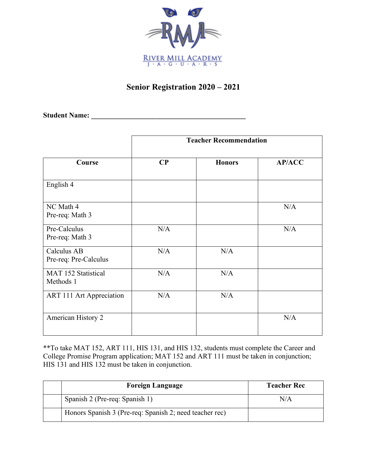

## **Senior Registration 2020 – 2021**

**Student Name: \_\_\_\_\_\_\_\_\_\_\_\_\_\_\_\_\_\_\_\_\_\_\_\_\_\_\_\_\_\_\_\_\_\_\_\_\_\_\_\_\_\_\_**

|                                      | <b>Teacher Recommendation</b> |               |               |
|--------------------------------------|-------------------------------|---------------|---------------|
| Course                               | $\bf CP$                      | <b>Honors</b> | <b>AP/ACC</b> |
| English 4                            |                               |               |               |
| NC Math 4<br>Pre-req: Math 3         |                               |               | N/A           |
| Pre-Calculus<br>Pre-req: Math 3      | N/A                           |               | N/A           |
| Calculus AB<br>Pre-req: Pre-Calculus | N/A                           | N/A           |               |
| MAT 152 Statistical<br>Methods 1     | N/A                           | N/A           |               |
| ART 111 Art Appreciation             | N/A                           | N/A           |               |
| American History 2                   |                               |               | N/A           |

\*\*To take MAT 152, ART 111, HIS 131, and HIS 132, students must complete the Career and College Promise Program application; MAT 152 and ART 111 must be taken in conjunction; HIS 131 and HIS 132 must be taken in conjunction.

| <b>Foreign Language</b>                                 | <b>Teacher Rec</b> |
|---------------------------------------------------------|--------------------|
| Spanish 2 (Pre-req: Spanish 1)                          | N/A                |
| Honors Spanish 3 (Pre-req: Spanish 2; need teacher rec) |                    |